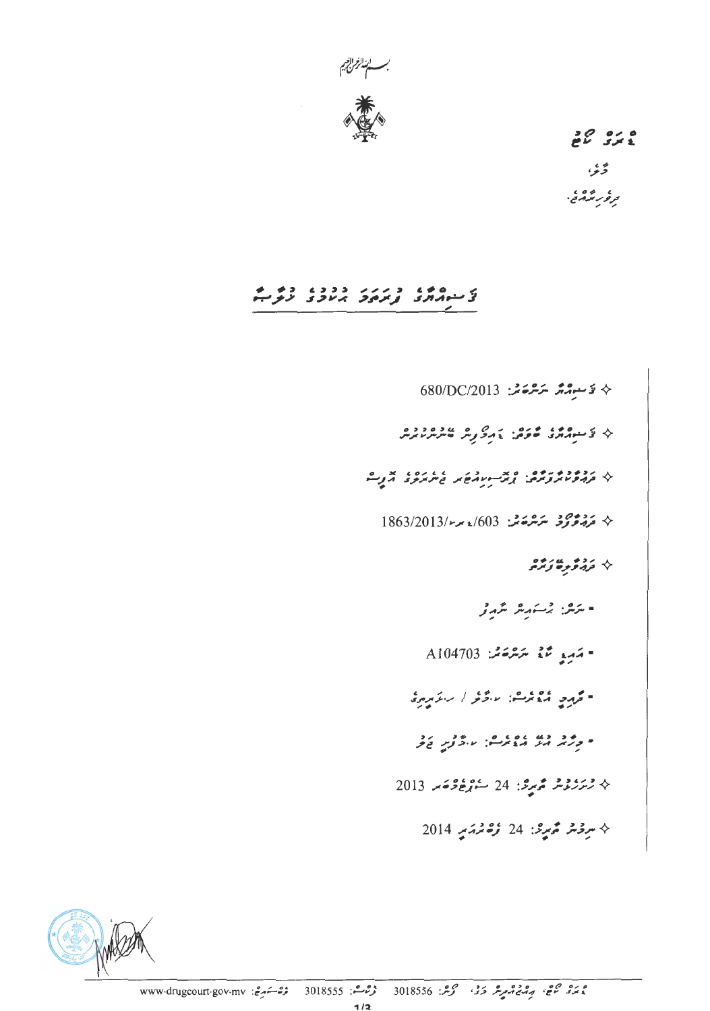

 $26928$ ۇي ، روه ،<br>تر *و ر*نگرام مي .

# ر ۵۰۰ د رزر ددد، ده م<br>د سهرارد ویروز برناوی نرم

 $680/DC/2013$  يَسْتَمَدُّ سَرَسْرَحَاشْ:  $\downarrow$ א נרוניו ובי המינות ביטור ביו נו  $1863/2013$ كې مَرْجَعَ تَرَ سَرَحْمَتْہُ: 603/2013/م ◊ دومورومورموم - مرکز: برگتم مرکز مرکز - مَسِيع مَعْ مَسْرَحَة بِهِ A104703 .<br>• تروج و و شد شرکت است کرد از است کرد و ی ◊ ﺳِﻮْﻣْﺮْ ﻣُّﺮِﺭْ: 24 ﺯْﻫْﻣُﺮْﻣَﺮِ 2014

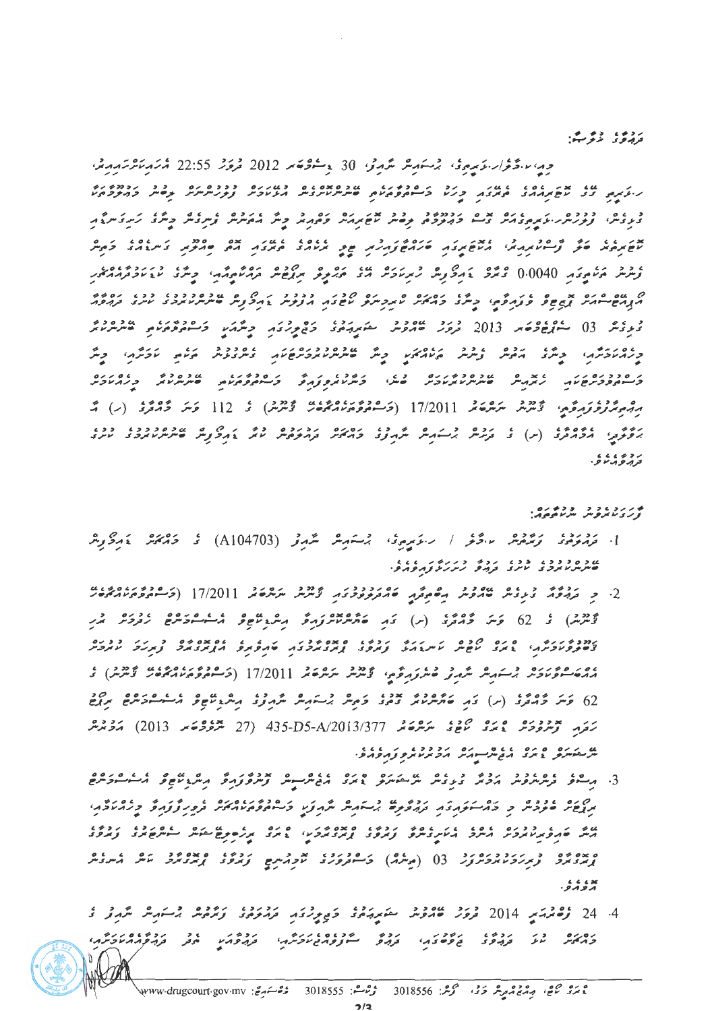ردم، دوست:

ەمەن بىگەرار بۇيۇمۇق بۇسكەنلەر ئىگەنى 30 يەسكەھەر 2012 قرۇش 22:55 قەترەپ *مىڭرىم* بەرقە ט אבי גבוב מידי המידיע בירוך בריטים מידיעים אמרים במידיעים בככם להם בכך בכולים בירון.<br>מידעותיה ככל מידעות המידעות בידעות בריטים המידעות מידעות מידעות הפידעות המידעות המידעות בהופרביקים.<br>המידעות המידעות המידעות המידעות המי د با ه دوده از باره بده با دوده داد و بدن بره ازه داد با دروه با با ه مرکز کردکی مرگزیم.<br>دیویس وورس ریزم داد از از درودم توصیر نام برابر و مایر دیگر ایمان و شرکت دیگری کردکی مرگزیم. אב גו גם כי מים בין המוקדות הנוספי להיות הפי הנוסג היום היום היום היום להיום ליום ליום ליום ליום ליום ליום ליום<br>הוקדות היום היום היום היום ליום לא היום להיות היום היום היום היום לא היום ליום ליום ליום ליום ליום ליום ליום .<br>توشرش خرام دى ما 0.0040 رو چرى ، ئەرگەرش زىرىئاكەش مەن كۆر ئور ئورۇم ئور ئامەت ئالار ئاما ئالار ئاما ئالار ئام ם מים ביני זה בין ידי המים ביתר בהזה לאתכית בין היו ברבב בין הפקית ביתיאוריבי ובני גבים.<br>הקורש הזהיה זה שים פקודפהי ביותר בהזהיה לאתכיתים לשינוי הקיבית הרופעית ביותרים שיני בנהפה .<br>د د د ه ... و د و و 2013 د ور مسروس حدود د د د د د د و روم د د و د و د د و د مسر د د د ק סרכקים קריין באופן המוניק מוניק המוניק לא המוניק המוניק מוניק מוניק מוניק מוניק מוניק מוניק מוניק מוניק מוני<br>בריירואקפריק מוניק קודוק מוניק אופיק מוניק ביוון מוניק בריירוק פוניק מוניק מוניק בקודו בריירוק בריירוק מוניק ב مِرْجُمْ وَوْوَمِرِوَّمِ، كَيْتْرَمْر سَرْحْدَمْد 17/2011 (وَسْهُوَوْرَ وَجَرْمَتْ كَيْتْرَسْرْ) كَ 112 وَسَرَ وَجَرْدَقْ (ب) مْ روی ، ده و ، ده در در در در برگزش شهروه روبر در دور وی دید در هم به دود دود ، دو ،<br>برقومی امروازاری از از کرد برگزش شهروی وامکیس اور نوم باش و برگزارش کاسرس بروی باش ر د د ، ، ، ،<br>د پرو بر ر و .

#### ه راره دو دوده ره.<br>وری نابروس سرنام مرد

- 1. مَرْمَوْمُودْ كَرَّمْرُمْكَ سَائْرُنُو / سَائِدِيْرِيْ، شِسَامِيْلْ سَمْرَتْرْ (A104703) نُو جَائِمَكَ يَامِرْكَانِيْلْ
- 2. د بروه د ده سود د ومرته محمد دود د کشتر مرکزی (17/2011 (تر دود برده د ودد د.<br>تۇسرىلى كى كى كەنگە كەمگەر (س) كەم كەنگەرلارنىڭ مەھرىلاھى كەنگەن كەمگەر ئىرىپ המכליקה כי היה לכם הייתה קבוצים במסליכה להגבת באיבטים כי קיקה בכים.<br>צוויקיפיו קיקה באיב הווארד האיבאה באפיבור באיבאר להפאקיפ הן מבאקיפי באקה ביוקפיה 62 كوسر 2005 (س) كام كام سرس دود كامور برسكام شهر دود المس دست دارده مردح مردح رَمَرِ جَرْمُ وَمَرْ ۚ وَمِنْ مَرْمَوْ مِنْ مِرْمَرْمَةْ A/2013/377 و 2013 (27 مَرْوُوْحَ مِنْ 2013) مَرْمَةْ م ی رحاوی ده ده ده ده دود ده در دود.<br>مرتفع مروج بری بروس برگر بروبر ما برو توبر وبرو
- 3. مرسومی مورد در درم درماه شریعت دره اور مورد به درم درمان و ماروه درمان درمان درمان درمان درمان درمان درمان<br>3. مرسومی فرس در مرد برای درمان میگرد که درمان درمان درمان در درمان درمان درمان درمان درمان درمان درمان درمان د ما دو دو د د د کرد کار دو به دستمه شهرت د دوورده د و د ورو د د د د در است.<br>مربع موومر و د کرد کار د ورووه بر کرد شهرت د سوروم مالکر و وروزور و در مور ه پده ده و بر رود دورو .<br>از در در فرمزر در در ( ( مر شرم) از ۲۰۰۵ و در بر از در در در در در از از در در در در د × ، ، ،<br>بروبرو .
- 4. 24 زېمبرسي 2014 درو عامروس ستېربرو، خپرېرتوبر پردو، رودو برخپر مربور د גם גם ביג גבוש גודו הובדו ומודעים בינוח הובדו הובדו הובדו ביותר.<br>בהאיניה מע בנהפי ביפיסיבהי בנהפ יישקפה ביטביתהי בנהפהמ יובק בנהפה המבינה.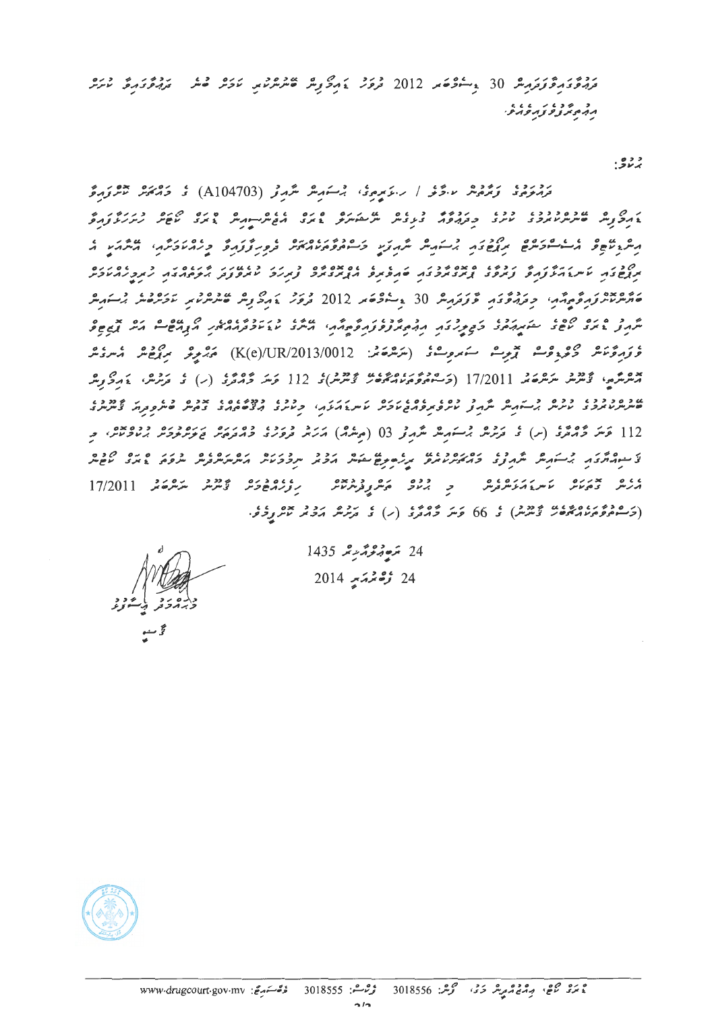رەۋر ۋىرمەترىكى 30 پەسكەھەر 2012 دىرە بەرگەر ھەشەھەر بارىر قائر بورگەر ئارىر ג גיע ניין גיני.<br>גג<sub>י</sub>ב *נ*ופ נגפ גיפ

برندې:

رەرە، رومۇر ساڭرىكى / سائىرمۇ، برستىرىگە مگرمۇر (A104703) كى خەم ئۇرىمۇر مىگرۇمۇ ره مده و است و ده و در در است شهرت و دود درده و رودتر و دورند و میکرد . רובו או אין לא נולי סמסלבן אין יו ממסלם באון ביטון לווסן באפרוברים.<br>תופצה אינואלקופ נתפצ ונקבאס בא לופקט וינולדים נקוב אתפנה הקיצורים הקבואים. رەمدە .<br>مەسرىس برقرمۇمدى بوترمۇت قۇتۇمبىر 30 ماشۇمىر 2012 قرىرى ئەركۇر ھىرىرىدىر ئاۋرقىل باشىرىد ۇ *ۋە ۋىرە ئاش ھىۋى* قىرىش سىمبىرىشى (شەشھەشى: K(e)/UR/2013/0012) مەشرىرى سىرتى شەرى ئىسرى ئىس چەرىگە، ئۇيۇم ئىر ھەتمە 17/2011 (خەممەم مەدەب ئەمزىم) ئۇ 112 ئىر ئۇچەر (ر) ئۇ ئەرگەر ئەرگە يەر 112 وَسَرَ وَمَامُودَ (س) ، رَمْرَشْ بْرَسَمْ شَرْمِرْتْر 03 (مِشْرَمْ) مَرَيْرْ وَرُودَ وَمَارَهْ رَرُودَيْر بِرَيْدُوشْ، وَ ر به دور در دستهر شرمان و ده ده ده دوره برره برهان دور در در در دور در در ده در ده ده در ده ده در در در در دور<br>بی منبعه برگزارش بر در دور برای در در در در دوست برای در در سرد دستر به برسر در در دست در در دست در دست در دست 

24 مَدْمُ 1435 1435 24 **زې**م تم**ت** بو 2014

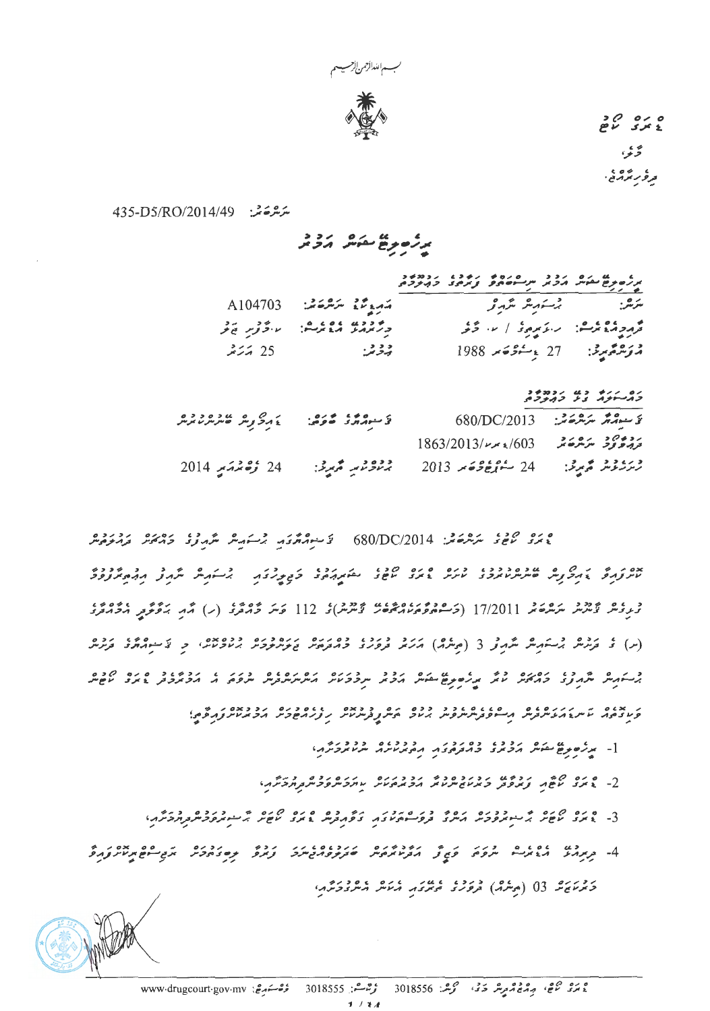

 $0,0,0,0$ څنې ، ریره ،<br>ترور ترور

ىترتىرىكى: 435-D5/RO/2014/49

|                                                         | بر زمود من مرد ده در ۲۵۷۵ در دود در دود و در دود د<br>په زمود من مرد بر سر سرمان و در در در برود و |  |
|---------------------------------------------------------|----------------------------------------------------------------------------------------------------|--|
| مَهِ وَمَنْ مَعْرَضَةٌ A104703                          | مركز: برگسترمبر مگرمر و                                                                            |  |
| وتمدر والمعامل المحور فالمحر                            | ورودو من.<br>درودو من. سرع دود / ۱۰۰ گرفر                                                          |  |
| $\frac{3}{2}$ $\frac{3}{2}$ $\frac{3}{2}$ $\frac{3}{2}$ | مە <b>ر</b> ھىر جىنىڭ 27 ب <sub>ى</sub> يەنگە 1988.                                                |  |

ים ייא נט ינמ4נ<br>*כ*ג—נ*יג בל כ*ג*יב*ה

| تخ سوم موجود تأمر ديد و ماده د ده<br>تخ سوم موجئ المجموع المستقرع مستقرع موسر |                                                           | ئۇسىدىگە مەشھەتتى:     680/DC/2013 |
|-------------------------------------------------------------------------------|-----------------------------------------------------------|------------------------------------|
|                                                                               | $1863/2013$ /م مرکز میگرد کم کی سر $/603$                 |                                    |
| 24 <b>زې</b> مخم <i>ت</i> ېر 2014                                             | ژىززند قەيرى:      24 كەنزۈۋەند 2013     برناۋىتىر قەيرى: |                                    |

ەرە مىدە ئىگەنگە: 680/DC/2014 - ئاسىمەگەنگەر ئېسىمبەش ئىگەرلەر ئەرگەنگەش ئەرمەنگەش ۇرىمىر ئۇيىرىمە سەھەم 17/2011 (خەشمەھمەر ئەھمەد ئۇيىرىمى) ئۇ 112 قويىر خەممۇر (ب) ئەر بەقۇقۇم مەمەمۇر (س) می ترفرهی پرسکریهی شرمرثی 3 (مرشره) ایرانی و دره در دوره ایران و دومده از این ترانی ایرانی از در ایرانی از د در هر چی د پاره در دولت به سال مرد د در در در دولت در در از باردی د و ده می دولت در در داده و در در در داده<br>پرسکه سر سربراوی او پرچینز امامز از مرد سر سربراس از این سربراس سروه به امامز مرحول پامری امام سر ני מגום ו ונונסגום ו סגוגום בכיכם כם וכן כבאס וגום כנסיום בראשות הפיק.<br>פעיבים הו עיות בהעיות בית היית פית יותח המודע במינות ובנו הפיקוד הפיקטות הקבועית.

[- مرتر در نوع مشوش بروبر و دوره در دوره در در در برابر بروتر برابر با<br>[- مرتر در نوع مشوش بروتر در در بروتر در برابر برابر در برابر در برابر بروتر برابر با

ם נם <sub>רו</sub>ט בי הכבש הכנכסכבי הככננס - הנסיתס**כית בתב**ונים.<br>2- **גיזני איפו**ד צו*יקסב, כ*זמוזימיות והכונסמית אותכיתסכית ב<sub>ו</sub>תכיתה.

- 
- ב נוס בין היישור בין היישור היים היישורים בין היים היים היים מסויים ובין ויים.<br>המנהל היידעיים ייתפים פתונו הבניותםיית שבוקפרוטייקים וביות קישורים הבניות הביים וביות היים.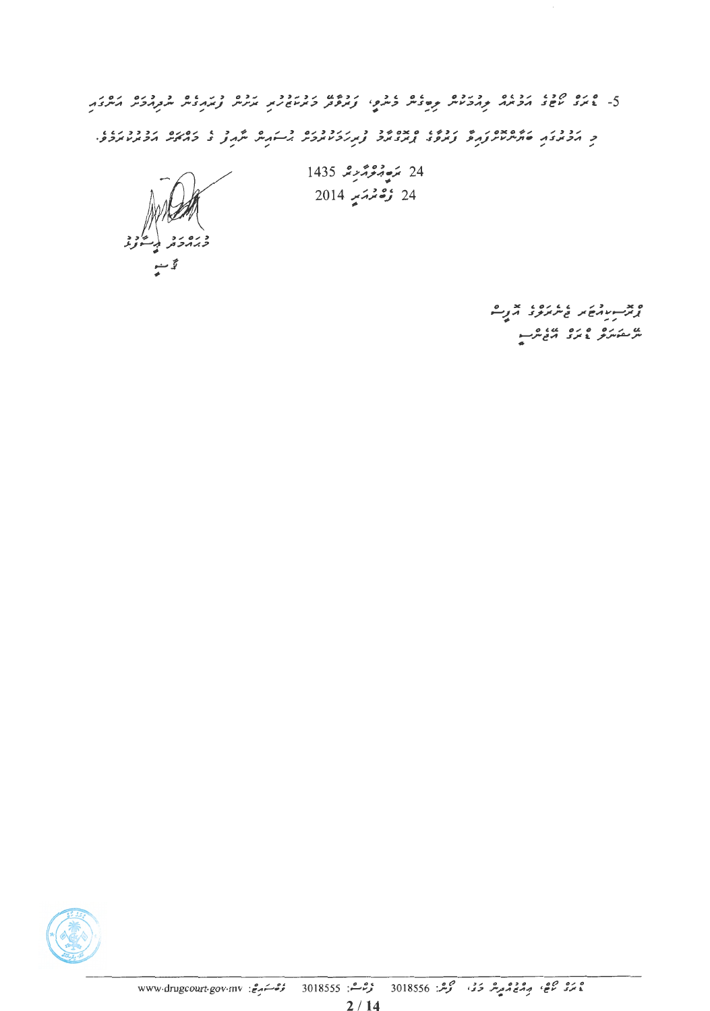5- פינס קיבו וכונס בבובס בוס ובית ביתוח ובבומי ובבובר ובס בנו ובנו בבובר היתבה.<br>5- גודעי משיב הכזה בהכמית בשיבית ביתוח ובקפת בזקמים וה התינית והקהבית התקהבת היתבה. ת כבר המהמינית הן הכמו המהמיד באותר היה הן מינית לא בין ההניים הבביניות.<br>כן הכתובה התייעית נהל נועלב נועבות כן נועד להייתוח להונית הבולי בהיית הכתובות.

د ره ر د<br>*د ب*ر د تر

 $1435$  مَدِيْرَ قَرْبَرْسْرَ 1435  $24$ 24 زشتەتىيە 2014

> یں در دورہ دی و۔<br>سرحت کرنے کا دیے س

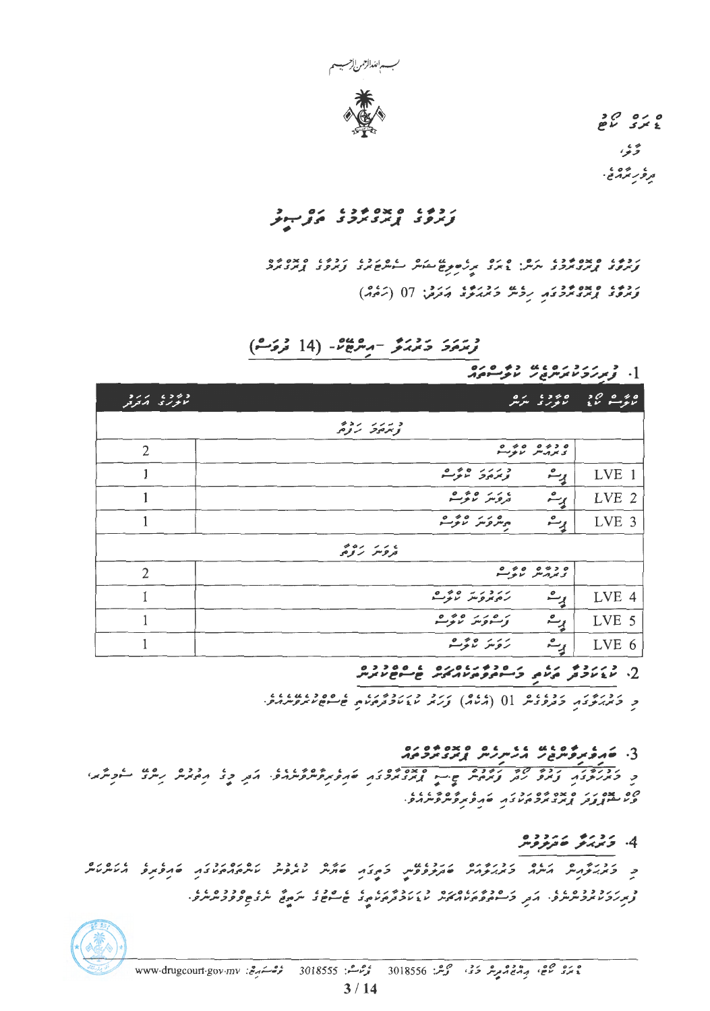

 $\begin{array}{ccc}\n 3 & 0 & 0 & 0 \\
2 & 3 & 5 & 2\n\end{array}$ ىخ ئى ، روه ،<br>توره برور بي .

# 

ر د چې په ده په د د په ده ده د د سره پرسره برد د کار ده ده ده ده ده ده ده ده ده ده ده ده د د برد د د د د د د د<br>و برو د اړند د برد د سرس د برد د بر ره پره پرسره سره برد اړند د اړند د برد ردم، ۵ ×۰۰ در برد به درم، درم. 07 (زه.د)

ۇ*مەمۇ دېمەنۇ -مەمەقا*تى- (14 ئ*ەۋ*سە)

# \_\_<br>0,0 0,0 0,000,000 } .]

| コンン・エコぞう<br>$\n  u u u u u u u u u u u u u u u u u u u u u u u u u u u u u u u$ | 01 6350<br>no sigu                                                                                        | Æ.<br>20000<br>بالوسع بماع |
|---------------------------------------------------------------------------------|-----------------------------------------------------------------------------------------------------------|----------------------------|
|                                                                                 | チコン・シンシコ<br>メタン ファメタ                                                                                      |                            |
| $\overline{2}$                                                                  | 0 0 0 0 0 0 0<br>ى بىرمەس بەيوسىد                                                                         |                            |
|                                                                                 | $0 \neq 0$ $111$<br>$\bullet$<br>يست<br>ويمرمونه لالوست                                                   | LVE 1                      |
| 1                                                                               | $0 \neq 0$ $-1$<br>$\bullet$<br>يپ<br>تروس لاتونت                                                         | LVE <sub>2</sub>           |
| 1                                                                               | $0 \not\Rightarrow 0 \not\rightarrow \rightarrow 0$<br>ړم<br>ميتروس تزبوست                                | LVE 3                      |
|                                                                                 | $201 - 116$<br>تروس رومى                                                                                  |                            |
| $\overline{2}$                                                                  | ە دەرە ەەر                                                                                                |                            |
|                                                                                 | $0 \not\rightarrow 0$ $\rightarrow$ $\rightarrow$ $3 \not\rightarrow$<br>$\bullet$<br>رەيروس تابوسىز<br>一 | LVE 4                      |
|                                                                                 | برم<br>$0 \rightarrow 0$ $1 \rightarrow 0$ $1$<br>وتسووس توتونند                                          | LVE 5                      |
|                                                                                 | $0 \rightarrow 0$ $1 \rightarrow 1$<br>$\frac{1}{2}$<br>روس بربوسه                                        | LVE 6                      |

د کرمرتر در دوروه او (۳۶۵) درد در رود در دوره و دوروس در د

#### 

ر در در در دو می گوده به محدوده و در دومرو دومیده. مرد و در دور رون کرد کرد. ) *ه پیده د د* ه پیده په *ه د د د سره و پروسروسر در و .*<br>و *د سنوپر وقت پر د بر د چر د چم چه و سروسر د و .* 

## 4. زدرو عردده

: در دو ده ده در در در دو ده در در دو در دو در در ده در در در در در در در ده دو ده در در د.<br>زیربرد تا پروتر شرو، امور او سام و مرتبط می تا در در مرتبط می شود و سر می شروع و و د شریر و.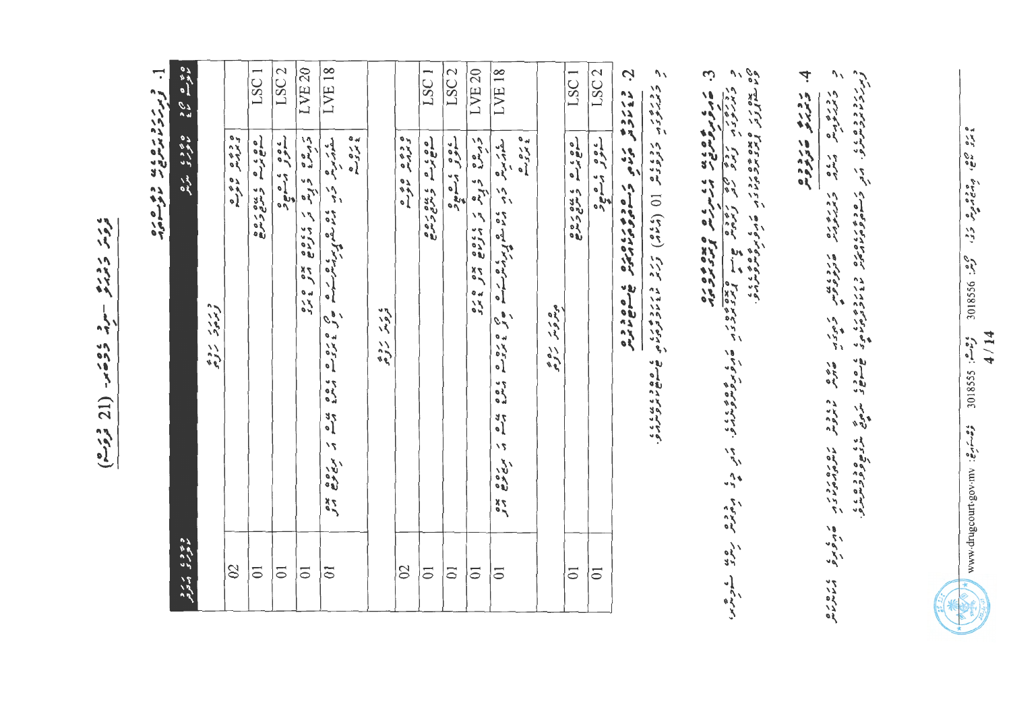بادي رودره - مرد دومبر (21 دوم)

 $\overline{\cdot}$ و ررون مده وه به ده وه<br>وبررون برون مده

| $\frac{1}{68}$ $\frac{1}{68}$ $\frac{1}{68}$ |                        |               | LSC <sub>1</sub>   | LSC <sub>2</sub>   | LVE <sub>20</sub>                 | LVE <sub>18</sub>  |                    |                        |                                                                            | LSC <sub>1</sub>   | LSC <sub>2</sub>   | LVE <sub>20</sub>                   | LVE <sub>18</sub>                                                                                                                                                                                                                |                     |             | LSC <sub>1</sub>   |
|----------------------------------------------|------------------------|---------------|--------------------|--------------------|-----------------------------------|--------------------|--------------------|------------------------|----------------------------------------------------------------------------|--------------------|--------------------|-------------------------------------|----------------------------------------------------------------------------------------------------------------------------------------------------------------------------------------------------------------------------------|---------------------|-------------|--------------------|
| ە بەد ، ئەيم                                 | دررد روه<br>توبروت روه | ه دوه ه ه و ه | oosa cusare        | عصور بن صحيحه      | ر ده ه د د ه ک کارانه ه مده د د د |                    | ه ره ده<br>ع برو م | ی ر د روه<br>دروسر روه | o e s o<br>Linn<br>$\begin{bmatrix} 0 & 0 \\ 0 & 0 \\ 0 & 0 \end{bmatrix}$ | agrams enter       | علواد المسمع       | ر ه ه ه د و په تر کاروه حده و د سره | مکار ده که در اوران کرده ده ده و دوره ده ده ده در ده بوده بوده در در اوران کرده برای این کرده در در این کار اس<br>سامان مرد کرد کرده کرده کرده است و اوران کرده در این کار این کار کرده کرده کرده کرده کرده کرده کرده این کار کر | ه ره ده<br>په مرد ه | ه عرب ره وه | agrace cure        |
| د ۶۶۵ کردو<br>موری کردو                      |                        | $\infty$      | $\overline{\circ}$ | $\overline{\circ}$ | $\overline{\circ}$                | $\overline{\circ}$ |                    |                        | $\infty$                                                                   | $\overline{\circ}$ | $\overline{\circ}$ | $\overline{\circ}$                  | $\overline{0}$                                                                                                                                                                                                                   |                     |             | $\overline{\circ}$ |

دوره ه د ه در به دره در دون د ده و ده د ده.<br>د پورتوبر مسرم د پورتوبر هترنو و شر<br>د پورتوبر مسرم د پورتوبر هترنو و ش כ ג כ כ<br>מ זוק פיינ – מ זוק ים הם מ ז די ر ده مره درمامبر ماه<br>ه مره مره درمامبر ماه

4 روره می دوده  $\overline{\partial}$ 

3. خود تو موه موه مای کار مرد می دید و می شود می ده می ده می دارد .<br>در در در دور در در دور در در در در در این میشود و بین می دارد می ده و بار در در در در در در در در در در این سا<br>در کار کار در در در در در در در در در این

 $\mathcal{J}$ د دره د د د د د و د و د و د () ( ( ۲۷م) کورتر د د د د د و و د و د و ه ه ه ه د د بد د .<br>ه صوم د بر د بر د .

د رروم درد و دروم ره دره.<br>مای ماروم در و ماهی و ماره می a sooo e

LSC<sub>2</sub>

seed on a de

 $\overline{\circ}$ 

Ċ

ه ده می و دره و میش در می دارد 3638108  $4/14$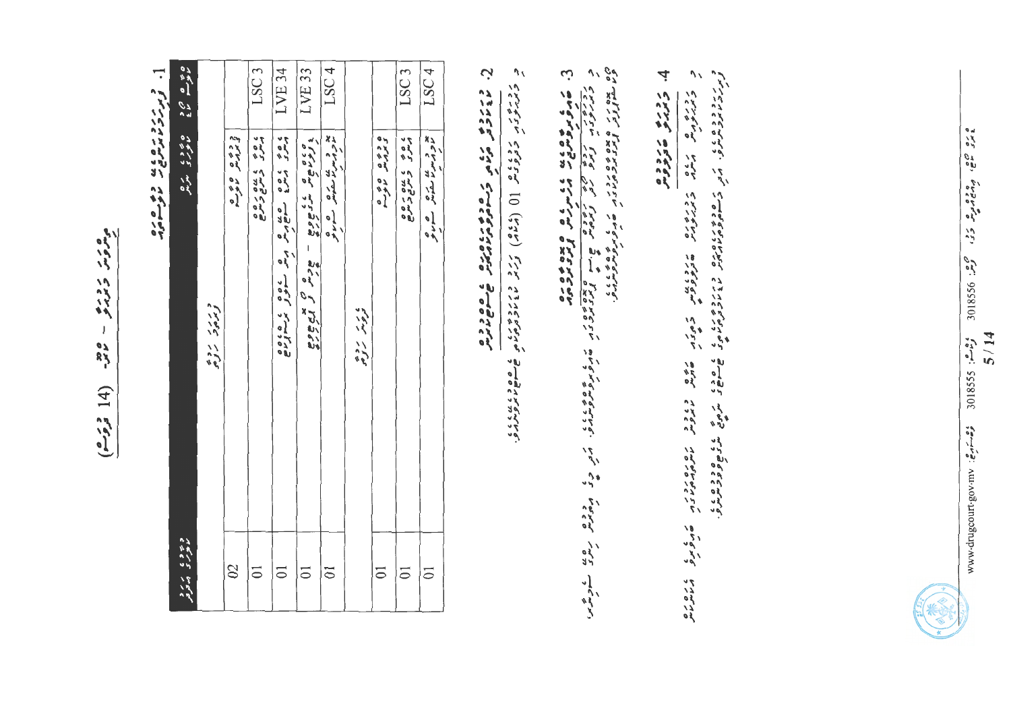جادي کار کاربرها  $-\frac{280}{96}$ (14 قرقره)

 $\mathbf{r}$ د دررد ديده ده سوم ده ده<br>ژبررو ديده ديد د

|                          |            |              | LSC <sub>3</sub>                          | LVE 34         | LVE 33                  | LSC <sub>4</sub>                               |                          |                               | LSC <sub>3</sub>            | LSC <sub>4</sub>                                  |
|--------------------------|------------|--------------|-------------------------------------------|----------------|-------------------------|------------------------------------------------|--------------------------|-------------------------------|-----------------------------|---------------------------------------------------|
| أهوم ماده المادي المرجمة | ورر در دوه | د ده ه ه و ه | ، ه ۶ - ۵ مرح ره و<br>مهر - د عربي ترسر ج |                | zeran negea - zer grupe | یو و سنا سکامل ها ها<br>ماووسرنا سکامل ها مانو | ی ر بر روه<br>حرصتر کروه | ه د ده ه ه ه ه<br>د بروس موسم | 2010 545 549<br>2010 549549 | بع و مدین سکھا ۔ ها دی<br>مارو پس سکھائی ۔ مسائلو |
| وه و و ، در د            |            | $\infty$     | $\overline{0}$                            | $\overline{0}$ | $\overline{0}$          | $\overline{\circ}$                             |                          | $\overline{\circ}$            | $\overline{0}$              | $\overline{\circ}$                                |

Ċ دررده<br>۱۶۷۷ مرده در مودوم دادگار جامع دیدر

 $\mathcal{U}$ ر درور دوده و ال (۲۷۵) کرکار در دورد و هستم شده در در د

4.  $\overline{\phantom{a}}$ روره من دوه ד המיד האם דברים בדבעת בפני מיד ביני באת המיד האורים.<br>באזמיקיים האזמיקיים שקייקיים מידו מידי האוריים האוריים. نا داره باره<br>ماره بره ، ره ره ره<br>در هر ره

د برن د ده ده کار بر در ده ده در ده ده در ده دلار ده کار و های میگوی کند و کار ده کار و ده ده کار در ده کار د<br>از برن در ده کار در در ده در دست و ده در ده در در در در در دار در در دار در در در در در در در در در در در در د



 $\frac{1}{2}$   $\frac{1}{2}$   $\frac{1}{2}$   $\frac{1}{2}$   $\frac{1}{2}$   $\frac{1}{2}$   $\frac{1}{2}$   $\frac{1}{2}$   $\frac{1}{2}$   $\frac{1}{2}$   $\frac{1}{2}$   $\frac{1}{2}$   $\frac{1}{2}$   $\frac{1}{2}$   $\frac{1}{2}$   $\frac{1}{2}$   $\frac{1}{2}$   $\frac{1}{2}$   $\frac{1}{2}$   $\frac{1}{2}$   $\frac{1}{2}$   $\frac{1}{2}$   $5/14$ وشاهز: 301855 وهسترها: http://www.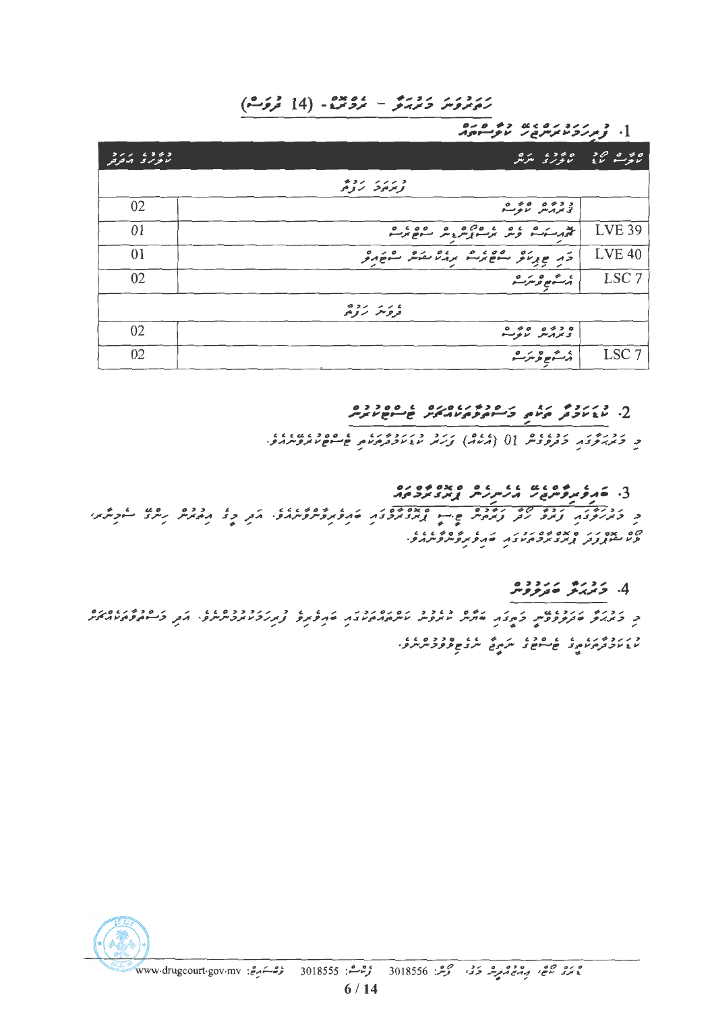#### ر دورو دورد - مودس - ۱4) مروس)

ara 42 usar 251 3 -1

| コンン・エコゼコ<br>$V$ $V$ $V$ | ە ئەھەر ئەمەدە بەرەر<br>ئاتۇسىم ئايغا ئاتورى ئىرىش |                  |
|-------------------------|----------------------------------------------------|------------------|
|                         | و رز دود.                                          |                  |
| 02                      | د ده ه ه ه می ه                                    |                  |
| 01                      |                                                    | <b>LVE 39</b>    |
| 01                      | وكم عريد و معظم مع مرار من مع مع مركز              | <b>LVE 40</b>    |
| 02                      | ېر شم ه عرم د                                      | LSC <sub>7</sub> |
|                         | ゆうい いいし<br>تروس رومى                               |                  |
| 02                      | ە دە ە ە دە مە<br>يىرىس ئىموسىيە                   |                  |
| 02                      | $0 < 0 \leqslant C$<br>برسنونغ وتترسنو             | LSC <sub>7</sub> |

### 

د کرد و در دوره دوره از (۵۷۷) کرد و در دوره و دوره دوره دور دوره و د

#### 

נ ברוח הרוח הרוח היה היה המוניקים והליקוד בינות הבן כל ההמית ניתל התחלון י)ם אם יי ם אם 40 יכולו לו מים 40 4 2 2 3 1 .<br>פעיליין נותן אוני אוכלו באו לאופא פייוון איפי

#### 4. زدره رزدده<br>4. زیربرخ متربروس

ו כומן ווכנט ון המצון ומים כנבר וסוסוכן וויטוע ברון כברכבסנט.<br>כן כאן את התקפקית בתצון התנית וואקפית וייתה המצון התקפק צוקולפיואקפיתית פי הקין בייירה פתיו האקי د بر دوم بن عداده و عداده عداده د و ه عداد .<br>با عام ترم بر موسیق از سرم تعداد موضوع و مر شرم .

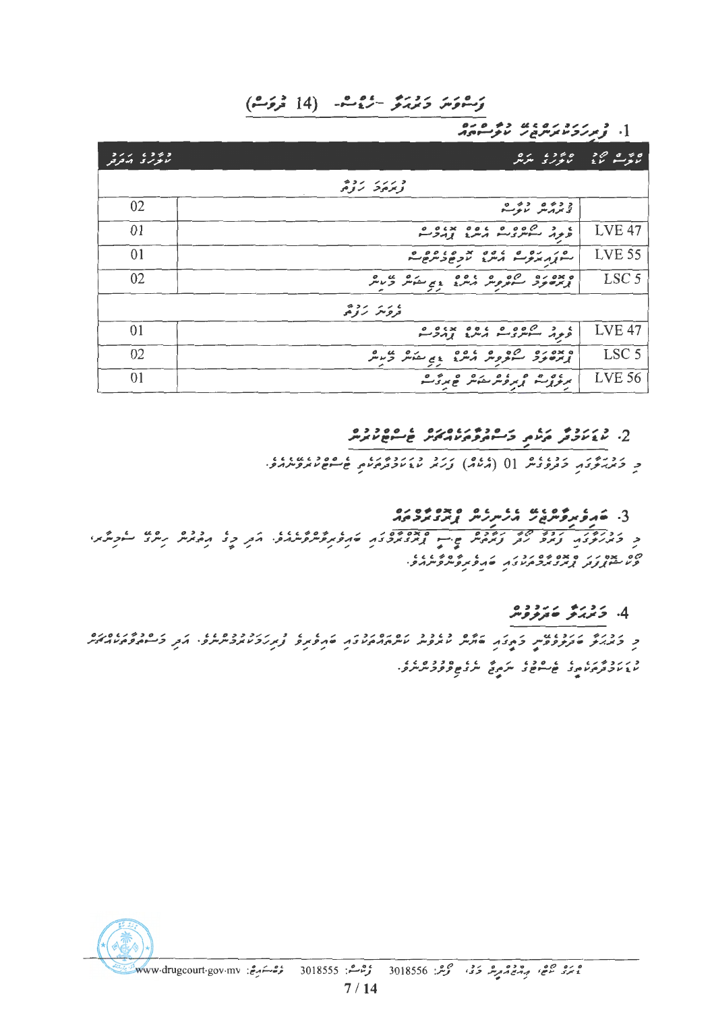#### رَّسْوَسَ دَمِيرُ مِنْ مِنْ هُ إِذَا فَرَوَسْ)

). ژیرزورو، به دو ورو

| 277.6262<br>الأفراري الرقرقر | ە يەد ، بەرە<br>ئانور يا سرس                                                                                                      | 50000<br>主新<br>ر د سه |
|------------------------------|-----------------------------------------------------------------------------------------------------------------------------------|-----------------------|
|                              | و رزر روه.                                                                                                                        |                       |
| 02                           | د ده و ده و.<br>د بررس نوک                                                                                                        |                       |
| 01                           | ، د دړه وه ده وه پدوه و<br>ونون سوسري سرمريز پرمرمن                                                                               | <b>LVE 47</b>         |
| 01                           | $\overline{\phantom{a}}$<br>ستور يرتوسه أرس لأونغ وشرحاسه                                                                         | <b>LVE 55</b>         |
| 02                           | ومده دو مستوره الراد ولم مشر و در د                                                                                               | LSC <sub>5</sub>      |
|                              | やつン・シンと<br>دروسر نزومی                                                                                                            |                       |
| 01                           | ، د صوره موه پروه و.<br>ویور سویری د مرد بودج                                                                                     | <b>LVE 47</b>         |
| 02                           | مشروم المروم المعرف المحمد المحمد المحمد المحمد المحمد المحمد المحمد المحمد المحمد المحمد المحمد الم<br>ه ۶۲ وره<br>تر بر حالو څر | LSC <sub>5</sub>      |
| 01                           | برنوبي--- يورونترىئىتر ئەبرۇپ                                                                                                     | <b>LVE 56</b>         |

## 2. د ، رده ر، د و د د بر ، د رو ، د ه ه د د ه<br>2. ناغ ناویر مرتبعي کر سوم د بر مرتبر خ سوم ترس

#### 

د درم کرده می ده در دور مسر ۲۵۶۰۰ و درم ۱۱۶۵۶ کرد و برتر و در در درم ساویگریر،<br>در دیمربروی از درم برابر ویرویگر چاپ از دیگردیگرد کاروپروگروکلرد کرد و بر درم کرد کرد کرد. 

#### 4. 5 تربري عروو و ه

د بر د ډېر په په مود په سرم په په مود وروس د .<br>پایان د مرم په موسوم د سرم تم سر د مو و و د شرکو .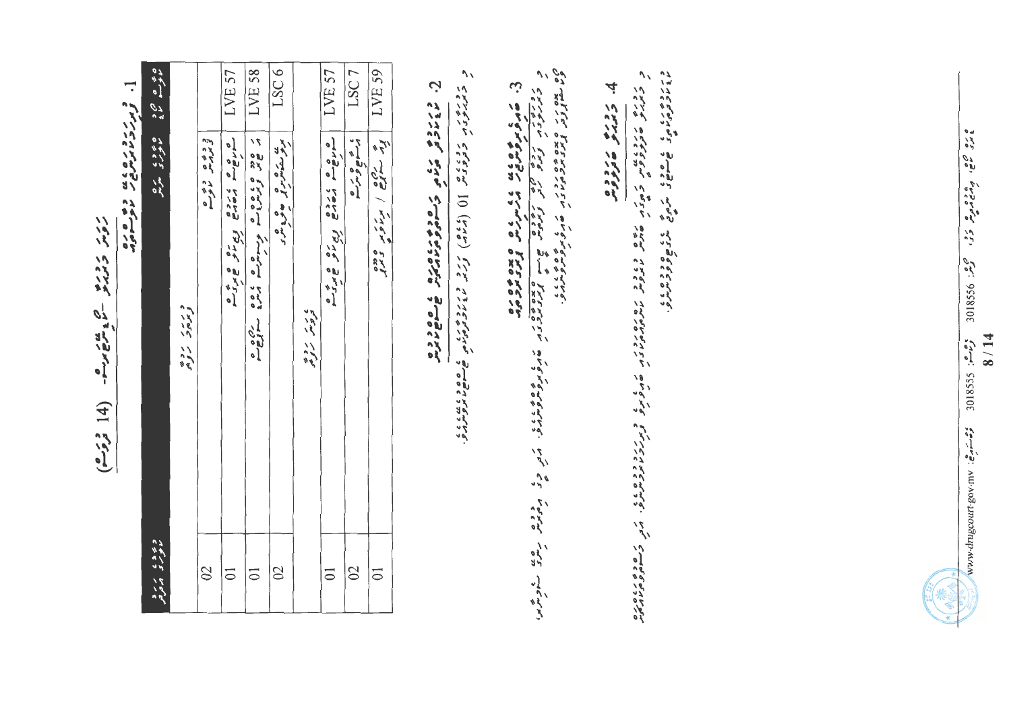יני נבנס קטוען בי  $(2.53 14)$ 

]. د دردد دره ده به دو ه ده.

| ده وه د و بر برد<br>ما عربری از انرانش |                                                                                                                                                                                                                                  |                  |
|----------------------------------------|----------------------------------------------------------------------------------------------------------------------------------------------------------------------------------------------------------------------------------|------------------|
|                                        | د ر ر د ده.<br>و برم د روم                                                                                                                                                                                                       |                  |
| $\infty$                               | د ده ه د ده ه                                                                                                                                                                                                                    |                  |
| $\overline{0}$                         | CANCE LIGHT ENDERS                                                                                                                                                                                                               | LVE 57           |
| $\overline{0}$                         | a good good guide and good good a                                                                                                                                                                                                | LVE 58           |
| $\overline{\mathbb{C}}$                | عد من من المالي المعالمي المالي المالي المالي من المالي من المالي المالي المالي المالي المالي المالي المالي ال<br>موالي المالي المالي المالي المالي المالي المالي المالي المالي المالي المالي المالي المالي المالي المالي المالي | LSC6             |
|                                        | ، ر د ده                                                                                                                                                                                                                         |                  |
| $\overline{\circ}$                     | CHACK CONS CONSTRUCTION                                                                                                                                                                                                          | LVE 57           |
| $\overline{\mathcal{C}}$               | ، جمع و مزم                                                                                                                                                                                                                      | LSC <sub>7</sub> |
| $\overline{\circ}$                     | پر ۱۳۵۶ / پرس دره در دید و برابرده ( پر ۱۳۸۵ )<br>  پرس دره در ابراه کار دید و برابرده ( برابرده )                                                                                                                               | LVE 59           |

ن<br>ح ورزوم دره در مودم در مودم و مودم.<br>ما خاترون مورم و مساجر و ما ما موسيق د ۱۶۰۶م که دولی ملی ((۱۹۷۹) و در مانده می دوره به دولی در محمد داد.<br>د همدرو تاریخ در محمد از (۱۹۷۶) و در مانده دوم موسیع می موسیقی

3. قام گوهای موقع می کند که ما مورد می کند که هم کاری می گام که موقع می کند.<br>در کارگردی از این کاری می کند که از این کاری این می کند که در این می گوید و می کند که این این کاری کند که این <br>در کارگردی از این کارگردی کاری می

4 ترمره مردومه

ور دور ده کاهی سر وی دوره در ده ده<br>۱۶ کاهی کاهی سر وی سر وی دوربر در ده در ده ده در ده در ده در ده در ده در ده<br>۱۶ کاهی کاهی کاهی سر وی در ده ده در ده ده ده ده ده ده ده در ده ده در ده در ده در ده در ده در ده ده ده ده ده ده כ הבנייץ שנבנית בהפרטון אים בגובה הסמכנה הגם הבניין בין הודעות הגברה הבניין הבניין האוריק.<br>בתווע שבתברעי בהבניין שרויי, מתקייר מיתהרותיו בין שהפתיפ צת הבניית התביית הבניין האוריק.

 $\frac{1}{2}$  and  $\frac{1}{2}$   $\frac{1}{2}$   $\frac{1}{2}$   $\frac{1}{2}$   $\frac{1}{2}$   $\frac{1}{2}$   $\frac{1}{2}$   $\frac{1}{2}$   $\frac{1}{2}$   $\frac{1}{2}$   $\frac{1}{2}$   $\frac{1}{2}$   $\frac{1}{2}$   $\frac{1}{2}$   $\frac{1}{2}$   $\frac{1}{2}$   $\frac{1}{2}$   $\frac{1}{2}$   $\frac{1}{2}$   $\frac{1}{2}$   $\frac{1}{2$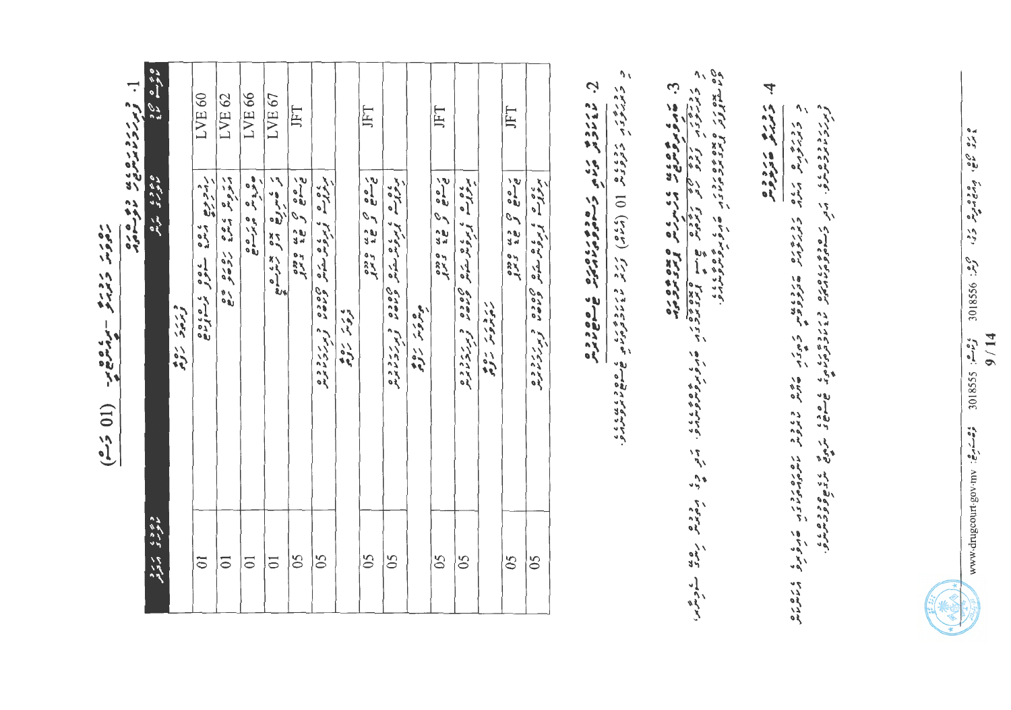| ر ده ر د<br>ر ورد<br>م ومهرم-<br>- مراسم<br>(10, 50) | ]. فرمرزو ره ۵ به<br>[. فرمرزو ما مره ع<br>د و ه ره<br>مارستان | ه چې ه ه ده<br>موسم مود<br>ه ده د ، مره<br>مور ، مرحو | ورده و<br>$\sum_{k=1}^{n}$ | LVE <sub>60</sub><br>ر<br>رس د بوج<br>5001<br>، ده ه<br>ي ده ده د<br>پرسونړه | LVE <sub>62</sub><br>بر وی می وه<br>1010<br>る。 | LVE <sub>66</sub><br>وفرده<br>60/60 | LVE <sub>67</sub><br>تر ځمېر ده په دو<br><b>Krigad</b> | JFT<br>بره می وسط<br>غای می وسط<br>o aco<br>1 x 1 | بروده<br>، پروس ستامل<br>osuer<br>Oocor<br>د ررد ده. | ه د د<br>$\frac{1}{2}$ | JFT<br>$\frac{2}{9}$<br>$\mathcal{O}(\mathcal{A})$<br>32<br>28<br>s<br>Syl | برودهم<br>، دیکھی سنگھر<br>اوموھر سنگھر<br>Joror<br>Joror<br>د ررزد ده. | جوديز روه | JFT<br>$\frac{2}{9}$<br>$\mathcal{C}_{\mathcal{A}}$<br>32<br>28<br><b>SzYr</b> | بروده<br>، دیکھ سکھار<br>اوپون سکھار<br>brand<br>Doco<br>و مرکزد و ه | ر دور ر دوم | JFT<br>$\frac{2}{3}$<br>$\mathcal{L}_{\mathcal{A}}$<br>32<br>28<br>onso<br>175 | بروده<br>ه دیون میشه نام<br>اوپروس میشهای<br>Joran<br>Joran<br>د بررد ده.<br>د بررد ما برس | Ņ<br>و رزه<br>مارولو | $\mathcal{L}_{\mathcal{A}}$<br>ر در ده در در دول () (کاراه) کردند در در در دول و دول بروس در در در در دارد.<br>در در در در دول در اول () (کاراه) کردند در در در در در در در دارد در در در در در در در در در دارد در دارد در د |  |
|------------------------------------------------------|----------------------------------------------------------------|-------------------------------------------------------|----------------------------|------------------------------------------------------------------------------|------------------------------------------------|-------------------------------------|--------------------------------------------------------|---------------------------------------------------|------------------------------------------------------|------------------------|----------------------------------------------------------------------------|-------------------------------------------------------------------------|-----------|--------------------------------------------------------------------------------|----------------------------------------------------------------------|-------------|--------------------------------------------------------------------------------|--------------------------------------------------------------------------------------------|----------------------|-------------------------------------------------------------------------------------------------------------------------------------------------------------------------------------------------------------------------------|--|
|                                                      |                                                                | د ۶ د ۲ د ۲ د د                                       |                            | $\overline{0}$                                                               | $\overline{0}$                                 | $\overline{0}$                      | $\overline{0}$                                         | $\delta$                                          | 65                                                   |                        | 65                                                                         | $\overline{05}$                                                         |           | 65                                                                             | $\delta$                                                             |             | $\delta$                                                                       | $\delta$                                                                                   |                      |                                                                                                                                                                                                                               |  |

ە دە مەھ، بودەمدىر دى، مېمىز: 3888069  $9 / 14$ 

4

 $\mathcal{J}$  /

ر دره هر کار مرد در دره در دولان کرده به موتر در دول در دول کاروبرد کرد که ای کاروبرد و با میگذیم.<br>حریب در موتر در موتر در دولو دولو دولو که در موتر میگویم. ما موتوان این موتر بر در موتر در موتر در موتر میگویم

روره هرووه<br>مروره مدووهر

وحره: 301855 وحسة وشابر بي: www.drugoourt.gov.mv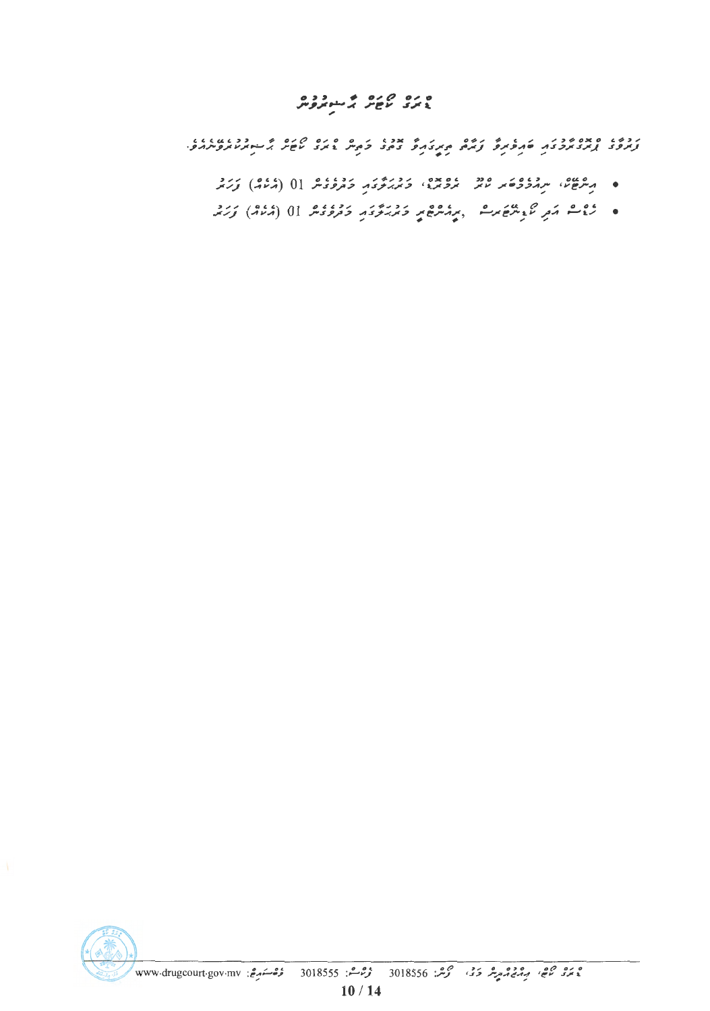# ه ده می ده می دوه<br>۱۳۶۲ کام کرد

ת כפגו המבור בין היותר בין היותר ביתו היום בין היותר בינועות בינועות בינועות בינועות בינועות בינועות בינועות ב<br>המוקדות המוקדות המוקדות המוקדות המוקדות ביתוח במוקדות היותר היותר מוקדות בינועות בינועות בינועות בינועות בינוע

- ۰ میرون، سرووی و دو دومود، دورو دورود دورود (۵۲۵) زرد
- روم مروم محمد الله المعلم المعلم المستعمر المحدود المحدود المحرر المستعمر المحرر المستعمر المحرر المستعمر الم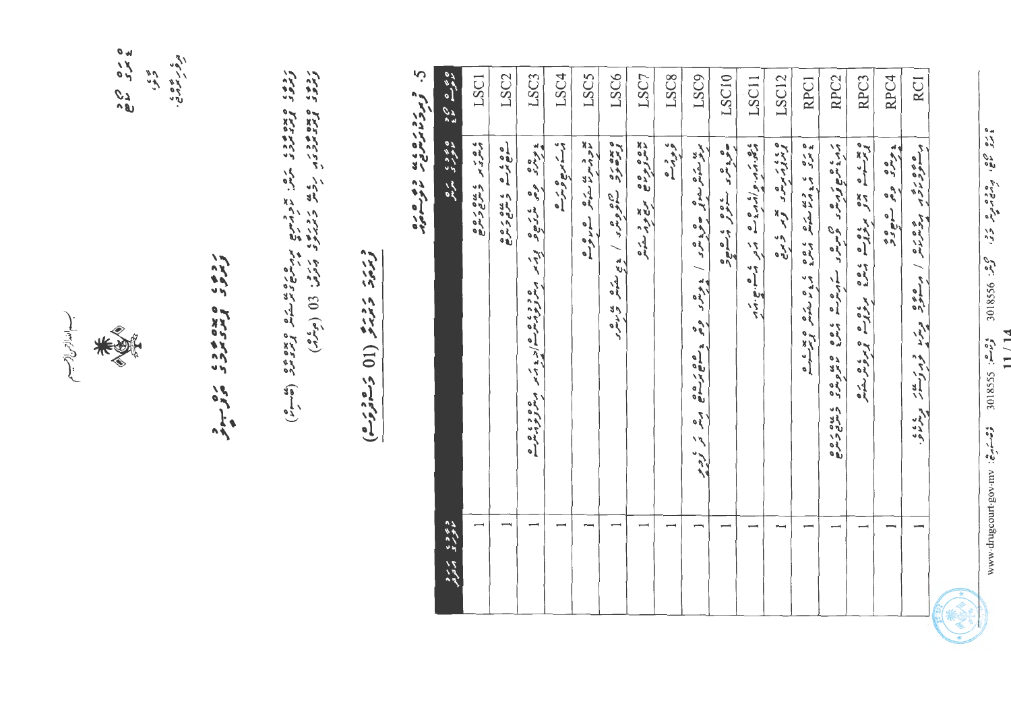سب الدازمن از مسبع

ans ale<br>ans ale ي د عرصي.<br>مرفر سمرمي.  $\tilde{t}'$ 

# rage Kurner of ma

# زيمن ديرو (11 دمورم)

ن.<br>` د برد ره به دو د وه<br>د برد ۱۶ مرح د لو سوم

| د ۶ د د کار د کار د | ه ۶۶۶ مره                                                                                              | ة بر صرحو<br>موض |
|---------------------|--------------------------------------------------------------------------------------------------------|------------------|
|                     | ه ه ر د په ده د ه ه<br>د س د س د س م ه                                                                 | LSC1             |
|                     | and in the cord                                                                                        | LSC <sub>2</sub> |
|                     |                                                                                                        | LSC3             |
|                     | ء ست بریع و سرے                                                                                        | LSC4             |
|                     | بع و بع بره ه ما دو ه                                                                                  | LSC5             |
|                     | ه بره دره دره دره از پای مترش می مورد<br>برم هرم متور متری از پای مترش می مورد                         | LSC6             |
|                     | מסס סם מי כל האות                                                                                      | LSC7             |
|                     | ، و دره<br>و در                                                                                        | LSC8             |
|                     | من مکوسو و وی و در اندرس و و نوی و می و می کرد و                                                       | LSC9             |
|                     | وربعى كنور المسمور                                                                                     | LSC10            |
|                     | ده در در دارد و سوید در استان بارد.<br>در اور در دارد و سوید در استان بارد.                            | LSC11            |
|                     | ه د د د سره د پیم د د مربع<br>از از از ایر سره د از این شرایع                                          | LSC12            |
|                     | ه ره به دعایت با وه به به منظر و معروف                                                                 | RPC1             |
|                     | ד גם די הסי ראים ביתוח בין הסיס המטיסים ביטסדים<br>האיבואים[עריכת ביתוח ביתוח ביתוח ביתוח ביתוח בקודם] | RPC <sub>2</sub> |
|                     | ويعت متحر برووث ورمانه البرورث ولبروتكر كمانه                                                          | RPC3             |
|                     | و ده وه سروره<br>د دس وه سرور                                                                          | RPC4             |
|                     | مقصود المردم المستعمل ويترا فهركتان ولأناف                                                             | RC1              |
|                     |                                                                                                        |                  |

ه ده ۵ می ورود می کرد. گور: 368106

 $11/14$ 

 $\zeta_{\sigma}^2$ -3 SSS 108  $\zeta_{\sigma}^2$ -2 SSS 108 Strue Supposed Server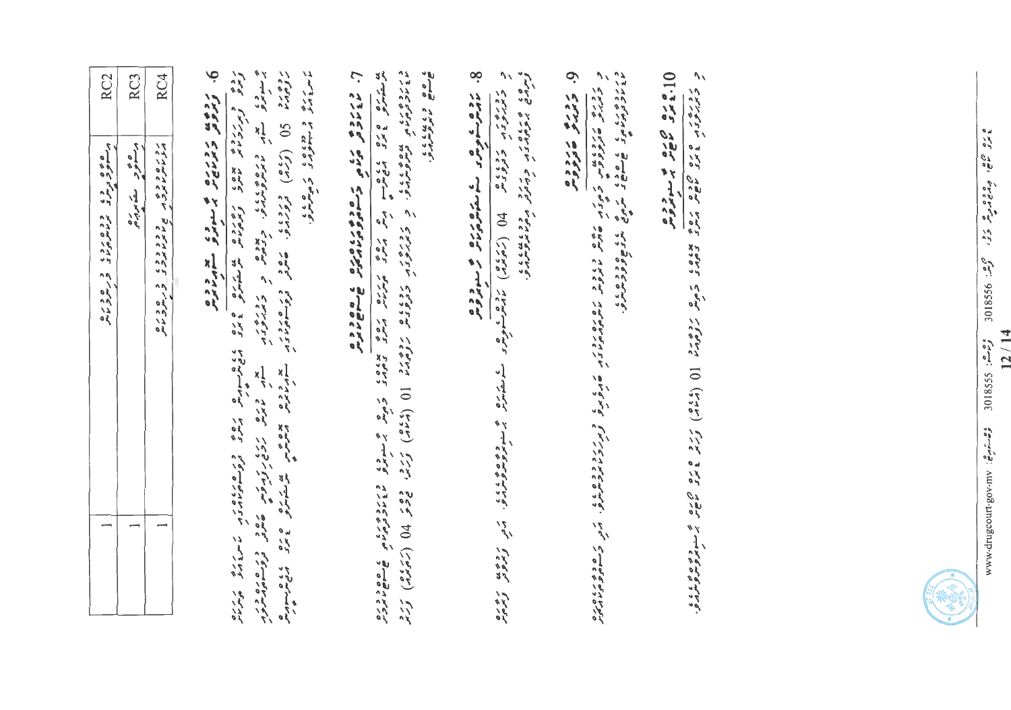| RC4<br>RC <sub>2</sub><br>RC <sub>3</sub><br>ه ه چ و د د د د د ه ر د د و ر ه و ر ه<br>د سعور د سر د د سرماس و د سرور ماش<br>روره ودوه<br>مزماه مایروس جمایر مایرون و مایرونامه<br>دره ده د کنده کرده<br>در سونو د کنده کرده | a confirmation come conformed<br>6. ژوئوس د دریام بر سوده معامره ده.<br>رده ده (کرده) وروپای می وری وری در مرد به هده می به مرده به مرده و به دوره به مرده به مرده به مرده به مرده به<br>بروه برد (کرده) وروزبرو، معترفر وروسیونوی سیربریز برنتریش مرتبط برنت به مرده به مرده به مرده به مرده به به مرد<br>ر دره د دوده د د هرمود.<br>مامود در سوور د د هرمود.<br>روی و برنرده بوده رهندو و برخرده شوید بود و برخ و برخش برده و برخش در برخرد با برخری بریزی<br>اراده ویژگردی بوده استادی و برخوانند شریف و برخ برخش برخش از برخ در برخوانداد بر برخ برخ | ورودوره والمحاصري والمتحدين المحاربي والمتحد المحاربي والمحاربي والمراكبي المحاربي والمحاربي المحاربي المحاربي<br>ن ده د د د د د د د د د د د د د<br>ل درون و دره در درون درون درون<br>از درون و مردم در در درون درون و درون | ם הים המודעות המודע הכשמות המודעי.<br>הייתוחים ממדעית המודעות המודעית המודעי.<br>د دورور دورو به دود و از ۱۹۶۹ (در ۱۹۶۹) دارو با بارو به سازمرد و استخدام به این از این از این این در این در<br>8. ماده شوهر کے ستمام دورہ میں دورہ<br>8. مادھ ستموش کے ستمام دیکھائی میں ستمار دورہ | ور دوره در دوره سروي سروي وروس دره دارد.<br>در دوره در دوره سروي سروي دره دوره دره دره دارد.<br>و. برورم تاروده | 10: یومی می شود به سنوموس |  |
|-----------------------------------------------------------------------------------------------------------------------------------------------------------------------------------------------------------------------------|----------------------------------------------------------------------------------------------------------------------------------------------------------------------------------------------------------------------------------------------------------------------------------------------------------------------------------------------------------------------------------------------------------------------------------------------------------------------------------------------------------------------------------------------------------|-----------------------------------------------------------------------------------------------------------------------------------------------------------------------------------------------------------------------------|--------------------------------------------------------------------------------------------------------------------------------------------------------------------------------------------------------------------------------------------------------------------------------------|-----------------------------------------------------------------------------------------------------------------|---------------------------|--|
| $\overline{\phantom{0}}$<br>∸                                                                                                                                                                                               | بعد ورود روی دی در در ورد ورد ورد.<br>سرم ماییش روی دیگروی به همدن و وسیم پرمرو                                                                                                                                                                                                                                                                                                                                                                                                                                                                          |                                                                                                                                                                                                                             |                                                                                                                                                                                                                                                                                      |                                                                                                                 |                           |  |

ه ده موه، موده و می دی، کوهه: 368106  $12/14$ وحرصة: 301855 وحسنة السبر المستنبات المستخدمة المستخدمة المستخدمة المستخدمة المستخدمة المستخدمة المستخدمة المس

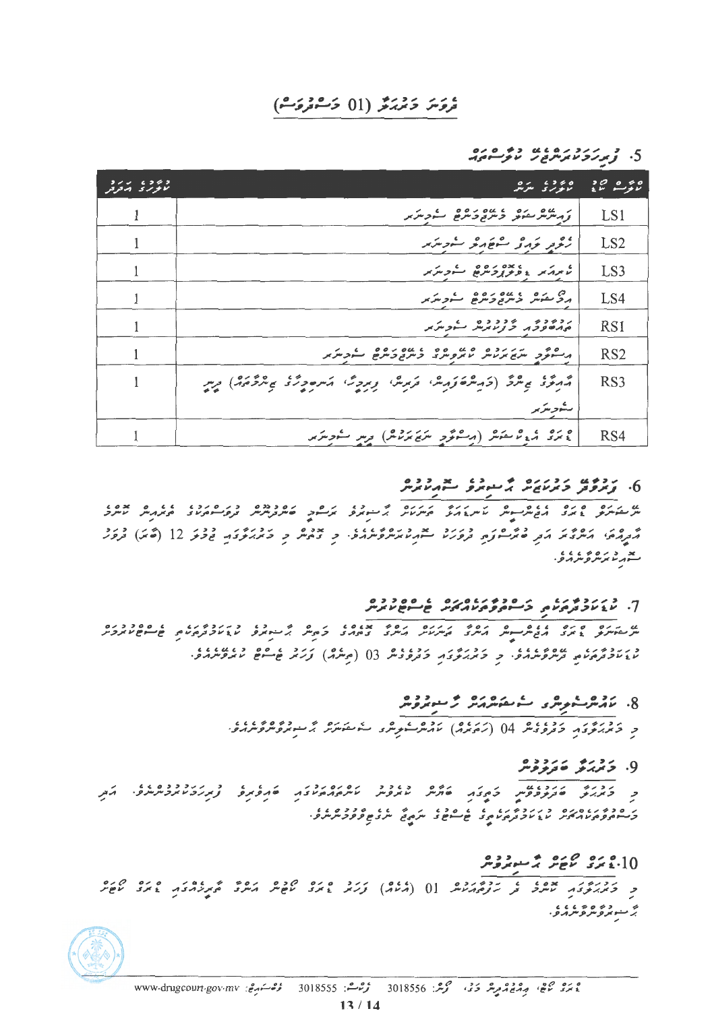## تروَسَ دَيْرَ بَرْ (01 دَسْڤروَسْ)

 $\frac{1}{2}$ ,  $\frac{1}{2}$ ,  $\frac{1}{2}$ ,  $\frac{1}{2}$ ,  $\frac{1}{2}$ ,  $\frac{1}{2}$ ,  $\frac{1}{2}$ ,  $\frac{1}{2}$ ,  $\frac{1}{2}$ ,  $\frac{1}{2}$ ,  $\frac{1}{2}$ ,  $\frac{1}{2}$ ,  $\frac{1}{2}$ ,  $\frac{1}{2}$ ,  $\frac{1}{2}$ ,  $\frac{1}{2}$ ,  $\frac{1}{2}$ ,  $\frac{1}{2}$ ,  $\frac{1}{2}$ ,  $\frac{1}{2}$ ,

| 2/2 6262<br>الالواراي الدفرقر | 6360<br>$\sim$<br>بمالوبرى المولس                                                              | 50000<br>$2V$ and $2V$ |
|-------------------------------|------------------------------------------------------------------------------------------------|------------------------|
|                               | ر مەھ مەھ كەمەدەھ كەھرىر                                                                       | LS1                    |
|                               | زود نزرو سفهرو سندس                                                                            | LS <sub>2</sub>        |
|                               | شهرته وومربوه شورشه                                                                            | LS3                    |
|                               | הרב היום ביותם ביות ביות את ביות את                                                            | LS4                    |
|                               | ردوده بادد ده به درس                                                                           | RS <sub>1</sub>        |
|                               | ه شود مرد ده ه عده ه ه عده ده ه مد د مرد در برا                                                | RS <sub>2</sub>        |
|                               | مُهْتَوَدُ يُمْتَرَكَ (دَمِيشَةَ رَمِيشَ، تَرَسِسُ، رِسِرِيْنَ، مَسْرَوِرْدُ يُشْرَّدَهُ) رِسِ | RS <sub>3</sub>        |
|                               | ستهويتريو                                                                                      |                        |
|                               | ه بری از دید عقیقه (ارسوسی در سرچ مرسوط از سره سوسرس                                           | RS4                    |

#### 

گردگاه) اکثر تا کار دارد در درد تعدید دره بابا و با با دور و تاریخ در دولت 12 (۳۶) درو بد دره ۱۵۰۶<br>سهرنا برنتر *و*نتر برو

## 7. د د د د و د د و د د د د د د و د د ه د د ه<br>7. لا د لا د ترورلامي كر سوم و مړير مير شخ شوح لا برس

8. ماه شروع و ما مشروع و مسورومر و درور دورون و دوره از دوره برون دور با می برد و در دوره بر در دوره و در دو.

9. ۇرۇم مەددە

د درود دردوستان در میکند و درود درورد میگروید و در دروده در درود به در در در در ر ۵ د ۱۵ د ۱۵ د د بر د ۱۰ د کار ۵ د کار ۱۵ د ۲۵ د ۵ د ۵ د کار.<br>د سوموم د اړه د سر اړو لرم د م کام د سوه ی سر د سر د س و د و سر سر و .

## 10، يونى كۈچۈر ئېرسىرتوش

و دَمَرْکُوْدَ حَقٌّ وَ رَوْهُ کُمْسًا [0 (مُنامٌ) وَرَمْر عَمَرُو کَافِسْ کَمَسٌرٌ مُّہْرِدُوَدَ عَمَرُو کَافِسْ ه د ده ه د ، ، ، ،<br>بر سوپروسروسرومو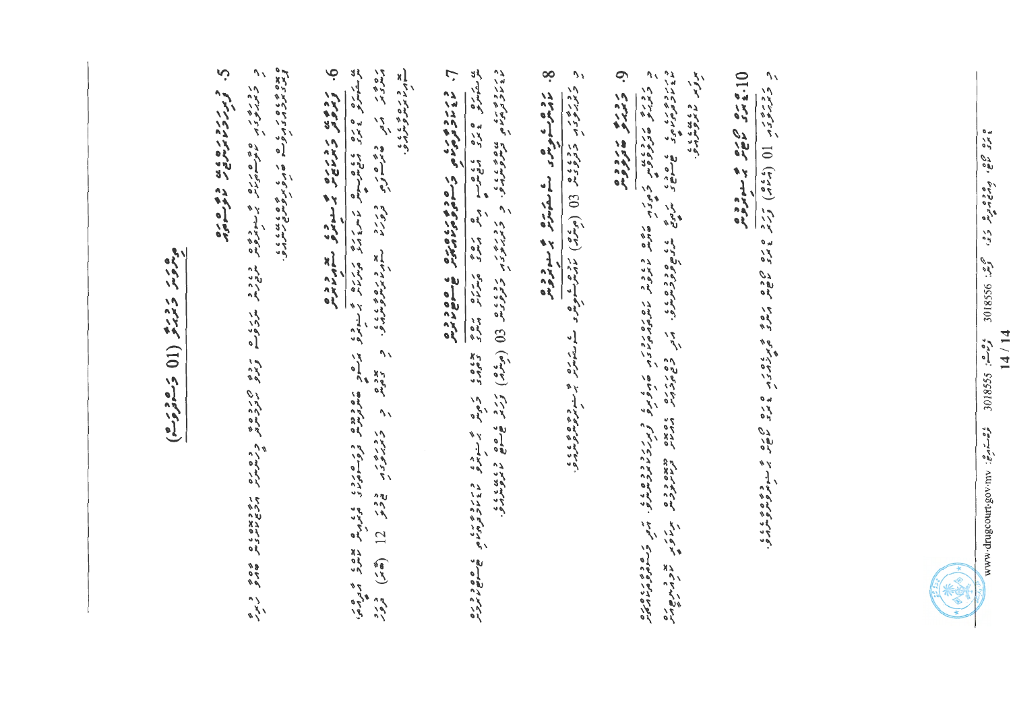9.  $\mathcal{L}_{\mathcal{L}}$ ره در مقر و ورداد معرف می در دو در در دارد و در دار و در دارد از این در در پو د ره ۶ و ، ، ، ،<br>سوبر د برمره و . 9. پرورو مددوده<br>9. پرورو مدیرومر 8. زوروسه ویور کے مقامری میں منووی د رودن و دوره کووند (9) (میلا) نامه مشوه و که منتظر و به منتظر استفاده می ד דודים דודים מותו בין די המס בשבב דוסדורדי הם המשלים בדידור בכסשי הודעים ברי המותו הודעים במשלים המסיים.<br>בדודו שהודע שלי המשלי המשלים הודעים מותום המשלים הודעים הודעים הודעים הודעים הודעים הודעים הודעים הודעים.<br>די הודעים ر<br>برتهر ما برو درمان 10 م ده ص ده و سوزومر<br>10 م س س م سوزومر د دوروی (10 (2014) کرترو و دو 8 مود و دورو د دورو د و دورو د دورو د دورو د د ر دره د ه ه دره و سروه و د د و د بر د و ه ر د و ه د و ه ره د د و د د و د و د و و د و و د و به د و به<br>د بربر د او سوادونان بر سربرونان مربع مار و سر د و د بر د و د و د بر د و د د د و د د و د و د و د بار د بار بر پوره کرمی ته خود دیرووی دید و های دوره<br>دهان کرمی بر خود دید دیرویی به های دوره

موروس ومدرو (11 وموروم)

C. Crickman coro

 $\frac{1}{2}$   $\frac{1}{2}$   $\frac{1}{2}$   $\frac{1}{2}$   $\frac{1}{2}$   $\frac{1}{2}$   $\frac{1}{2}$   $\frac{1}{2}$   $\frac{1}{2}$   $\frac{1}{2}$   $\frac{1}{2}$   $\frac{1}{2}$   $\frac{1}{2}$   $\frac{1}{2}$   $\frac{1}{2}$   $\frac{1}{2}$   $\frac{1}{2}$   $\frac{1}{2}$   $\frac{1}{2}$   $\frac{1}{2}$   $\frac{1}{2}$   $\frac{1}{2}$   $14/14$  $3018555 : e^2e^2$  $\zeta^{\bullet\rightarrow\star\sim\bullet}$ : vurvo3up.www.